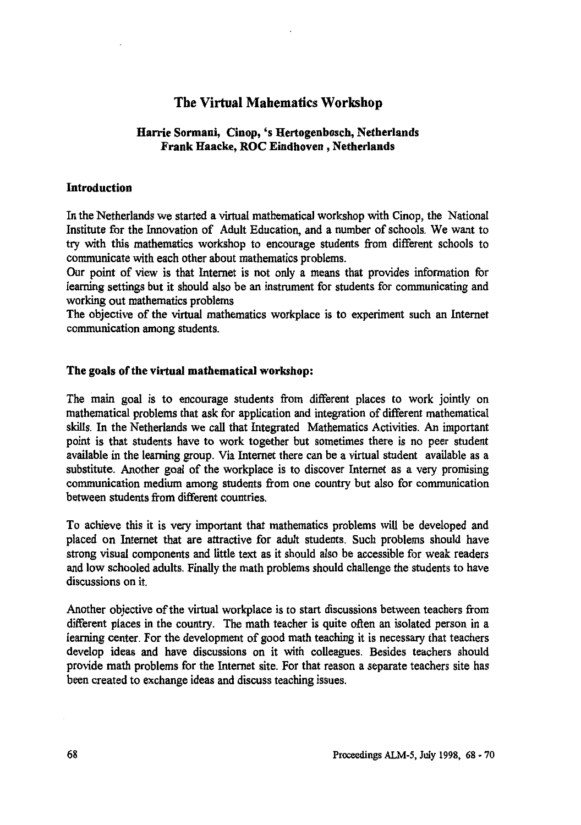# **The Virtual Mahematics Workshop**

### **Harrie Sormani, Cinop, 's Hertogenbosch, Netherlands Frank Haacke, ROC Eindhoven , Netherlands**

#### **Introduction**

**In the Netherlands we started a virtual mathematical workshop with Cinop, the National Institute for the Innovation of Adult Education, and a number of schools. We want to try with this mathematics workshop to encourage students from different schools to communicate with each other about mathematics problems.**

**Our point of view is that Internet is not only a means that provides information for learning settings but it should also be an instrument for students for communicating and working out mathematics problems**

**The objective of the virtual mathematics workplace is to experiment such an Internet communication among students.**

#### **The goals of the virtual mathematical workshop:**

**The main goal is to encourage students from different places to work jointly on mathematical problems that ask for application and integration of different mathematical skills. In the Netherlands we call that Integrated Mathematics Activities. An important point is that students have to work together but sometimes there is no peer student available in the learning group. Via Internet there can be a virtual student available as a substitute. Another goal of the workplace is to discover Internet as a very promising communication medium among students from one country but also for communication between students from different countries.**

**To achieve this it is very important that mathematics problems will be developed and placed on Internet that are attractive for adult students. Such problems should have strong visual components and little text as it should also be accessible for weak readers and low schooled adults. Finally the math problems should challenge the students to have discussions on it.**

**Another objective of the virtual workplace is to start discussions between teachers from different places in the country. The math teacher is quite often an isolated person in a learning center. For the development of good math teaching it is necessary that teachers develop ideas and have discussions on it with colleagues. Besides teachers should provide math problems for the Internet site. For that reason a separate teachers site has been created to exchange ideas and discuss teaching issues.**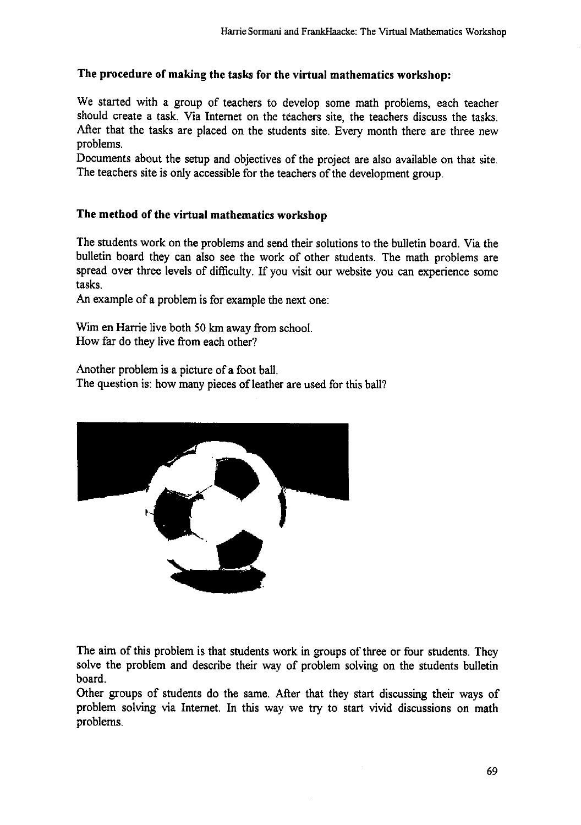## **The procedure of making the tasks for the virtual mathematics workshop:**

We started with a group of teachers to develop some math problems, each teacher should create a task. Via Internet on the teachers site, the teachers discuss the tasks. After that the tasks are placed on the students site. Every month there are three new problems.

Documents about the setup and objectives of the project are also available on that site. The teachers site is only accessible for the teachers of the development group.

## **The method of the virtual mathematics workshop**

The students work on the problems and send their solutions to the bulletin board. Via the bulletin board they can also see the work of other students. The math problems are spread over three levels of difficulty. If you visit our website you can experience some tasks.

An example of a problem is for example the next one:

Wim en Harrie live both 50 km away from school. How far do they live from each other?

Another problem is a picture of a foot ball. The question is: how many pieces of leather are used for this ball?



The aim of this problem is that students work in groups of three or four students. They solve the problem and describe their way of problem solving on the students bulletin board.

Other groups of students do the same. After that they start discussing their ways of problem solving via Internet. In this way we try to start vivid discussions on math problems.